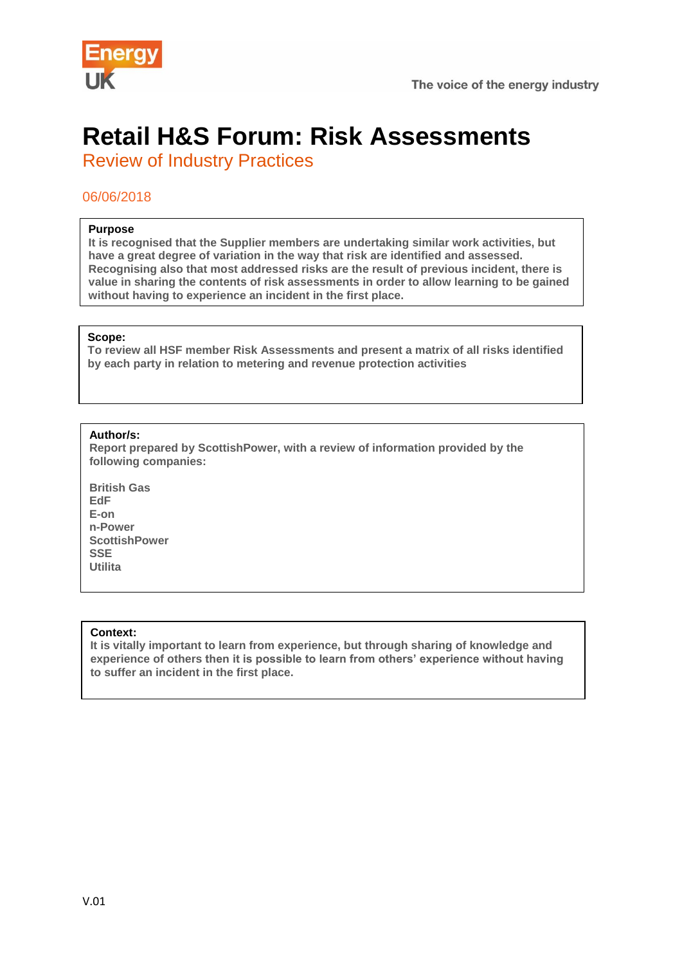



# **Retail H&S Forum: Risk Assessments**

Review of Industry Practices

## 06/06/2018

## **Purpose**

**It is recognised that the Supplier members are undertaking similar work activities, but have a great degree of variation in the way that risk are identified and assessed. Recognising also that most addressed risks are the result of previous incident, there is value in sharing the contents of risk assessments in order to allow learning to be gained without having to experience an incident in the first place.**

#### **Scope:**

**To review all HSF member Risk Assessments and present a matrix of all risks identified by each party in relation to metering and revenue protection activities**

## **Author/s:**

**Report prepared by ScottishPower, with a review of information provided by the following companies:**

**British Gas EdF E-on n-Power ScottishPower SSE Utilita**

### **Context:**

**It is vitally important to learn from experience, but through sharing of knowledge and experience of others then it is possible to learn from others' experience without having to suffer an incident in the first place.**